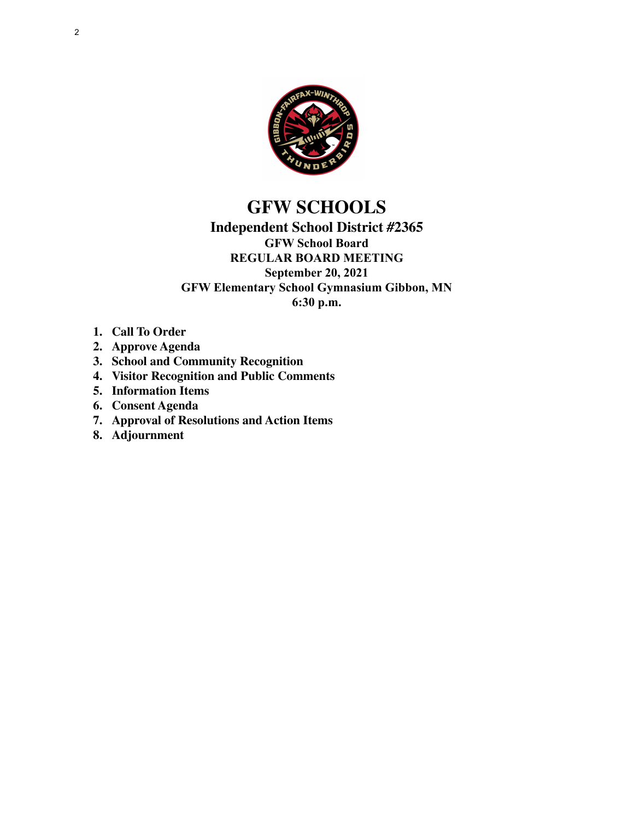

## **GFW SCHOOLS**

### **Independent School District #2365 GFW School Board REGULAR BOARD MEETING September 20, 2021 GFW Elementary School Gymnasium Gibbon, MN 6:30 p.m.**

- **1. Call To Order**
- **2. Approve Agenda**
- **3. School and Community Recognition**
- **4. Visitor Recognition and Public Comments**
- **5. Information Items**
- **6. Consent Agenda**
- **7. Approval of Resolutions and Action Items**
- **8. Adjournment**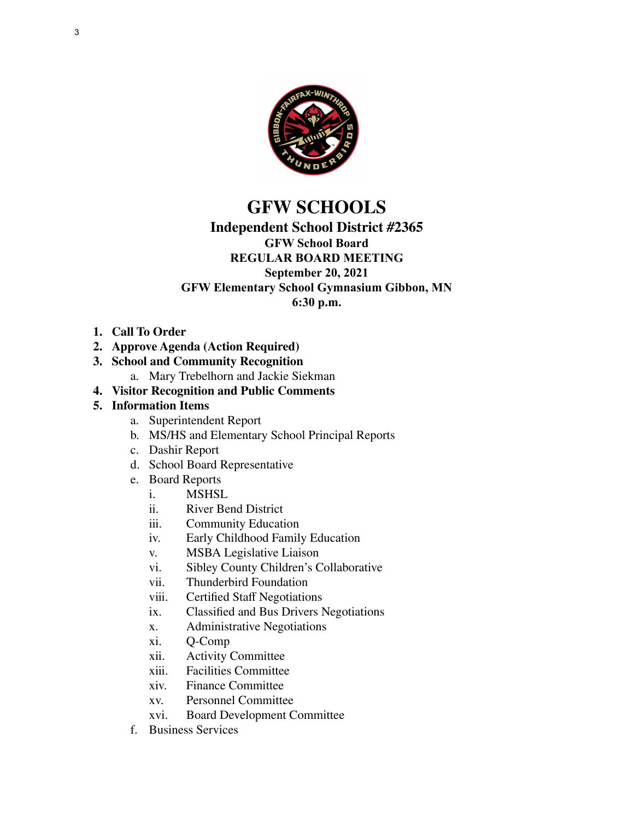

# **GFW SCHOOLS**

## **Independent School District #2365**

### **GFW School Board**

#### **REGULAR BOARD MEETING September 20, 2021**

#### **GFW Elementary School Gymnasium Gibbon, MN**

**6:30 p.m.**

**1. Call To Order**

#### **2. Approve Agenda (Action Required)**

- **3. School and Community Recognition**
	- a. Mary Trebelhorn and Jackie Siekman
- **4. Visitor Recognition and Public Comments**

#### **5. Information Items**

- a. Superintendent Report
- b. MS/HS and Elementary School Principal Reports
- c. Dashir Report
- d. School Board Representative
- e. Board Reports
	- i. MSHSL<br>ii. River Be
	- River Bend District
	- iii. Community Education<br>iv. Early Childhood Family
	- Early Childhood Family Education
	- v. MSBA Legislative Liaison
	- vi. Sibley County Children's Collaborative
	- vii. Thunderbird Foundation
	- viii. Certified Staff Negotiations
	- ix. Classified and Bus Drivers Negotiations
	- x. Administrative Negotiations
	- xi. Q-Comp
	- xii. Activity Committee
	- xiii. Facilities Committee
	- xiv. Finance Committee
	- xv. Personnel Committee
	- xvi. Board Development Committee
- f. Business Services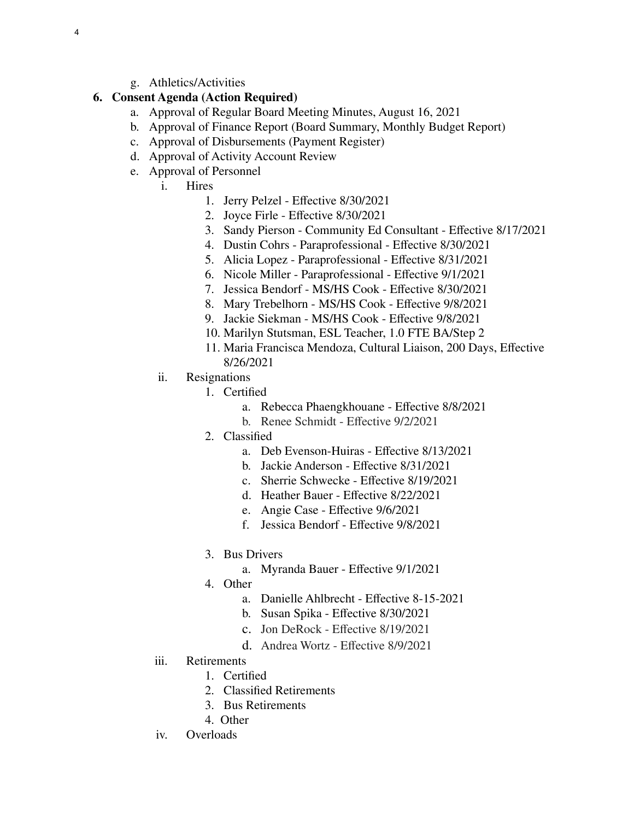g. Athletics/Activities

#### **6. Consent Agenda (Action Required)**

- a. Approval of Regular Board Meeting Minutes, August 16, 2021
- b. Approval of Finance Report (Board Summary, Monthly Budget Report)
- c. Approval of Disbursements (Payment Register)
- d. Approval of Activity Account Review
- e. Approval of Personnel
	- i. Hires
		- 1. Jerry Pelzel Effective 8/30/2021
		- 2. Joyce Firle Effective 8/30/2021
		- 3. Sandy Pierson Community Ed Consultant Effective 8/17/2021
		- 4. Dustin Cohrs Paraprofessional Effective 8/30/2021
		- 5. Alicia Lopez Paraprofessional Effective 8/31/2021
		- 6. Nicole Miller Paraprofessional Effective 9/1/2021
		- 7. Jessica Bendorf MS/HS Cook Effective 8/30/2021
		- 8. Mary Trebelhorn MS/HS Cook Effective 9/8/2021
		- 9. Jackie Siekman MS/HS Cook Effective 9/8/2021
		- 10. Marilyn Stutsman, ESL Teacher, 1.0 FTE BA/Step 2
		- 11. Maria Francisca Mendoza, Cultural Liaison, 200 Days, Effective 8/26/2021
	- ii. Resignations
		- 1. Certified
			- a. Rebecca Phaengkhouane Effective 8/8/2021
			- b. Renee Schmidt Effective 9/2/2021
		- 2. Classified
			- a. Deb Evenson-Huiras Effective 8/13/2021
			- b. Jackie Anderson Effective 8/31/2021
			- c. Sherrie Schwecke Effective 8/19/2021
			- d. Heather Bauer Effective 8/22/2021
			- e. Angie Case Effective 9/6/2021
			- f. Jessica Bendorf Effective 9/8/2021
		- 3. Bus Drivers
			- a. Myranda Bauer Effective 9/1/2021
		- 4. Other
			- a. Danielle Ahlbrecht Effective 8-15-2021
			- b. Susan Spika Effective 8/30/2021
			- c. Jon DeRock Effective 8/19/2021
			- d. Andrea Wortz Effective 8/9/2021
	- iii. Retirements
		- 1. Certified
		- 2. Classified Retirements
		- 3. Bus Retirements
		- 4. Other
	- iv. Overloads